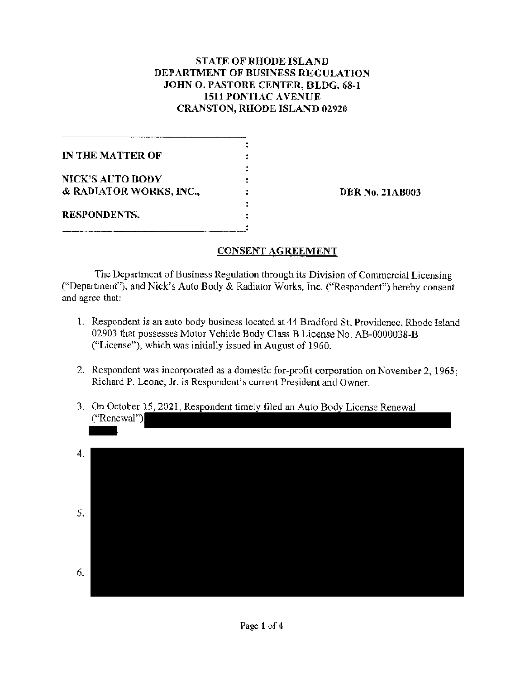## **STATE OF RHODE ISLAND DEPARTMENT OF BUSINESS REGULATION JOHN 0. PASTORE CENTER, BLDG. 68-1 1511 PONTIAC A VENUE CRANSTON, RHODE ISLAND 02920**

| IN THE MATTER OF        |  |
|-------------------------|--|
| <b>NICK'S AUTO BODY</b> |  |
| & RADIATOR WORKS, INC., |  |
| <b>RESPONDENTS.</b>     |  |

**DBR No. 21AB003** 

### **CONSENT AGREEMENT**

The Department of Business Regulation through its Division of Commercial Licensing ("Department"), and Nick's Auto Body & Radiator Works, Inc. ("Respondent") hereby consent and agree that:

- 1. Respondent is an auto body business located at 44 Bradford St, Providence, Rhode Island 02903 that possesses Motor Vehicle Body Class B License No. AB-0000038-B ("License"), which was initially issued in August of 1960.
- 2. Respondent was incorporated as a domestic for-profit corporation on November 2, 1965; Richard P. Leone, Jr. is Respondent's current President and Owner.
- 3. On October 15, 2021, Respondent timely filed an Auto Body License Renewal ("Renewal")

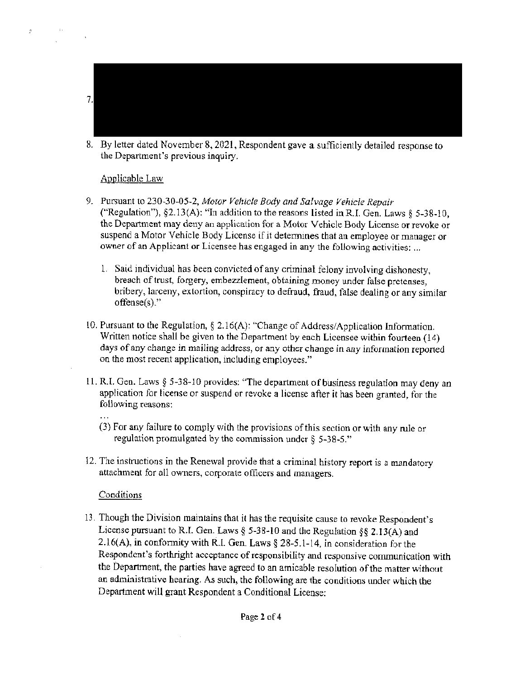

8. By letter dated November 8, 2021, Respondent gave a sufficiently detailed response to the Department's previous inquiry.

#### Applicable Law

 $\mathcal{E}^{\pm}$ 

- 9. Pursuant to 230-30-05-2, *Motor Vehicle* Body *and Salvage Vehicle Repair*  ("Regulation"), §2.13(A): "In addition to the reasons listed in R.I. Gen. Laws § 5-38-10, the Department may deny an application for a Motor Vehicle Body License or revoke or suspend a Motor Vehicle Body License if it detennines that an employee or manager or owner of an Applicant or Licensee has engaged in any the following activities: ...
	- 1. Said individuai has been convicted of any criminal felony involving dishonesty, breach of trust, forgery, embezzlement, obtaining money under false pretenses, bribery, larceny, extortion, conspiracy to defraud, fraud, false dealing or any similar offense(s)."
- ! 0. Pursuant to the Regulation, § 2. l 6(A): "Change of Address/ Application Information. Written notice shall be given to the Department by each Licensee within fourteen (14) days of any change in mailing address, or any other change in any information reported on the most recent application, including employees."
- l l. R.L Gen. Laws§ 5-38-10 provides: "The department of business regulation may deny an application for license or suspend or revoke a license after it has been granted, for the following reasons:
	- (3) For any failure to comply with the provisions of this section or with any rule or regulation promulgated by the commission under§ 5-38-5."
- 12. The instructions in the Renewal provide that a criminal history report is a mandatory attachment for all owners, corporate officers and managers.

#### **Conditions**

13. Though the Division maintains that it has the requisite cause to revoke Respondent's License pursuant to R.I. Gen. Laws§ 5-38-10 and the Regulation§§ 2.13(A) and 2. l6(A), in conformity with R.1 Gen. Laws § 28-5.1-14, in consideration for the Respondent's forthright acceptance of responsibility and responsive communication with the Department, the parties have agreed to an amicable resolution of the matter without an administrative hearing. As such, the following are the conditions under which the Department will grant Respondent a Conditional License: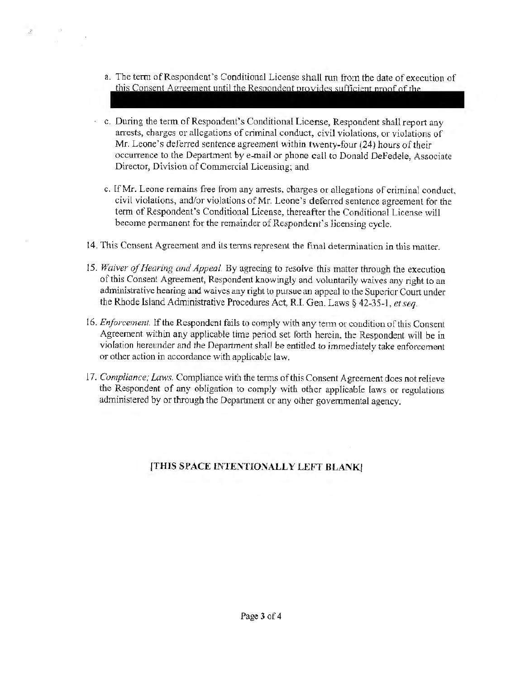a. The term of Respondent's Conditional License shall run from the date of execution of this Consent Agreement until the Respondent provides sufficient proof of the

 $\mathcal{Z}^{\mathcal{C}}$ 

- c. During the term of Respondent's Conditional License, Respondent shall report any arrests, charges or allegations of criminal conduct, civil violations, or violations of Mr. Leone's deferred sentence agreement within twenty-four (24) hours of their occurrence to the Department by e-mail or phone call to Donald DeFedele, Associate Director, Division of Commercial Licensing; and
- c. If Mr. Leone remains free from any arrests, charges or allegations of criminal conduct, civil violations, and/or violations of Mr. Leone's deferred sentence agreement for the tenn of Respondent's Conditional License, thereafter the Conditional License will become permanent for the remainder of Respondent's licensing cycle.
- 14. This Consent Agreement and its terms represent the final determination in this matter.
- *15. Waiver qf Hearing and Appeal* By agreeing to resolve this matter through the execution of this Consent Agreement, Respondent knowingly and voluntarily waives any right to an administrative hearing and waives any right to pursue an appeal to the Superior Court under the Rhode Island Administrative Procedures Act, R.I. Gen. Laws § 42-35-1, *et seq.*
- l 6. *Enforcement.* If the Respondent fails to comply with any term or condition of this Consent Agreement within any applicable time period set forth herein, the Respondent will be in violation hereunder and the Department shall be entitled to immediately take enforcement or other action in accordance with applicable law.
- 17. Compliance; Laws. Compliance with the terms of this Consent Agreement does not relieve the Respondent of any obligation to comply with other applicable laws or regulations administered by or through the Department or any other governmental agency.

# **{THIS SPACE INTENTIONALLY LEFf BLANK!**